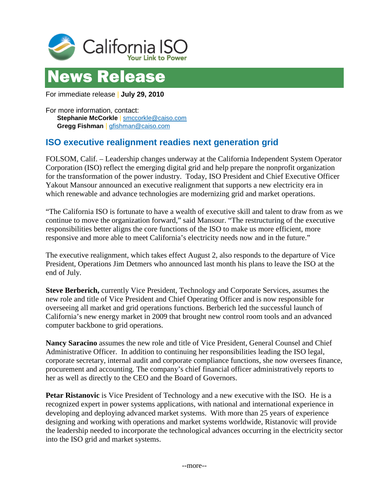



For immediate release | **July 29, 2010**

For more information, contact: **Stephanie McCorkle** | [smccorkle@caiso.com](mailto:smccorkle@caiso.com) **Gregg Fishman** | [gfishman@caiso.com](mailto:gfishman@caiso.com)

## **ISO executive realignment readies next generation grid**

FOLSOM, Calif. – Leadership changes underway at the California Independent System Operator Corporation (ISO) reflect the emerging digital grid and help prepare the nonprofit organization for the transformation of the power industry. Today, ISO President and Chief Executive Officer Yakout Mansour announced an executive realignment that supports a new electricity era in which renewable and advance technologies are modernizing grid and market operations.

"The California ISO is fortunate to have a wealth of executive skill and talent to draw from as we continue to move the organization forward," said Mansour. "The restructuring of the executive responsibilities better aligns the core functions of the ISO to make us more efficient, more responsive and more able to meet California's electricity needs now and in the future."

The executive realignment, which takes effect August 2, also responds to the departure of Vice President, Operations Jim Detmers who announced last month his plans to leave the ISO at the end of July.

**Steve Berberich,** currently Vice President, Technology and Corporate Services, assumes the new role and title of Vice President and Chief Operating Officer and is now responsible for overseeing all market and grid operations functions. Berberich led the successful launch of California's new energy market in 2009 that brought new control room tools and an advanced computer backbone to grid operations.

**Nancy Saracino** assumes the new role and title of Vice President, General Counsel and Chief Administrative Officer. In addition to continuing her responsibilities leading the ISO legal, corporate secretary, internal audit and corporate compliance functions, she now oversees finance, procurement and accounting. The company's chief financial officer administratively reports to her as well as directly to the CEO and the Board of Governors.

**Petar Ristanovic** is Vice President of Technology and a new executive with the ISO. He is a recognized expert in power systems applications, with national and international experience in developing and deploying advanced market systems. With more than 25 years of experience designing and working with operations and market systems worldwide, Ristanovic will provide the leadership needed to incorporate the technological advances occurring in the electricity sector into the ISO grid and market systems.